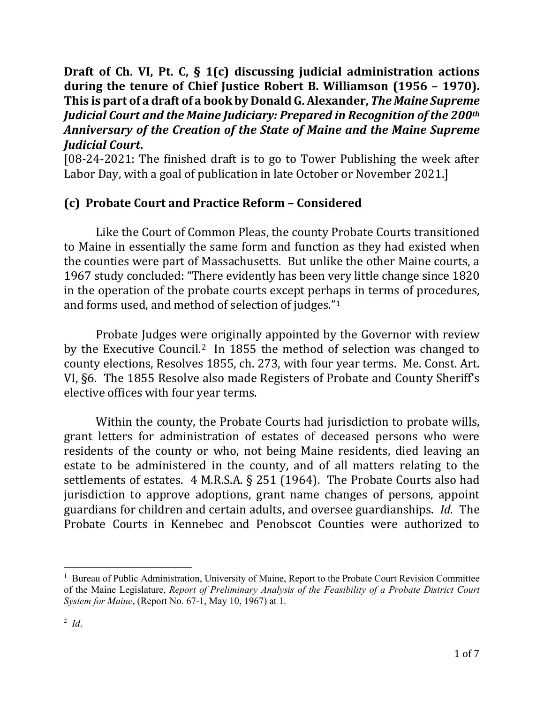## **Draft of Ch. VI, Pt. C, § 1(c) discussing judicial administration actions during the tenure of Chief Justice Robert B. Williamson (1956 – 1970). This is part of a draft of a book by Donald G. Alexander,** *The Maine Supreme Judicial Court and the Maine Judiciary: Prepared in Recognition of the 200th Anniversary of the Creation of the State of Maine and the Maine Supreme Judicial Court***.**

[08-24-2021: The finished draft is to go to Tower Publishing the week after Labor Day, with a goal of publication in late October or November 2021.]

## **(c) Probate Court and Practice Reform – Considered**

Like the Court of Common Pleas, the county Probate Courts transitioned to Maine in essentially the same form and function as they had existed when the counties were part of Massachusetts. But unlike the other Maine courts, a 1967 study concluded: "There evidently has been very little change since 1820 in the operation of the probate courts except perhaps in terms of procedures, and forms used, and method of selection of judges."[1](#page-0-0)

Probate Judges were originally appointed by the Governor with review by the Executive Council.[2](#page-0-1) In 1855 the method of selection was changed to county elections, Resolves 1855, ch. 273, with four year terms. Me. Const. Art. VI, §6. The 1855 Resolve also made Registers of Probate and County Sheriff's elective offices with four year terms.

Within the county, the Probate Courts had jurisdiction to probate wills, grant letters for administration of estates of deceased persons who were residents of the county or who, not being Maine residents, died leaving an estate to be administered in the county, and of all matters relating to the settlements of estates. 4 M.R.S.A. § 251 (1964). The Probate Courts also had jurisdiction to approve adoptions, grant name changes of persons, appoint guardians for children and certain adults, and oversee guardianships. *Id*. The Probate Courts in Kennebec and Penobscot Counties were authorized to

<span id="page-0-1"></span><span id="page-0-0"></span><sup>&</sup>lt;sup>1</sup> Bureau of Public Administration, University of Maine, Report to the Probate Court Revision Committee of the Maine Legislature, *Report of Preliminary Analysis of the Feasibility of a Probate District Court System for Maine*, (Report No. 67-1, May 10, 1967) at 1.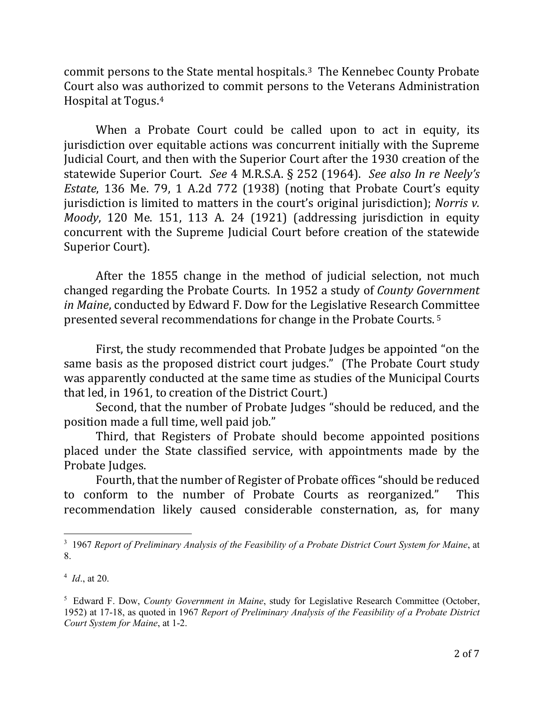commit persons to the State mental hospitals.[3](#page-1-0) The Kennebec County Probate Court also was authorized to commit persons to the Veterans Administration Hospital at Togus.[4](#page-1-1)

When a Probate Court could be called upon to act in equity, its jurisdiction over equitable actions was concurrent initially with the Supreme Judicial Court, and then with the Superior Court after the 1930 creation of the statewide Superior Court. *See* 4 M.R.S.A. § 252 (1964). *See also In re Neely's Estate*, 136 Me. 79, 1 A.2d 772 (1938) (noting that Probate Court's equity jurisdiction is limited to matters in the court's original jurisdiction); *Norris v. Moody*, 120 Me. 151, 113 A. 24 (1921) (addressing jurisdiction in equity concurrent with the Supreme Judicial Court before creation of the statewide Superior Court).

After the 1855 change in the method of judicial selection, not much changed regarding the Probate Courts. In 1952 a study of *County Government in Maine*, conducted by Edward F. Dow for the Legislative Research Committee presented several recommendations for change in the Probate Courts. [5](#page-1-2)

First, the study recommended that Probate Judges be appointed "on the same basis as the proposed district court judges." (The Probate Court study was apparently conducted at the same time as studies of the Municipal Courts that led, in 1961, to creation of the District Court.)

Second, that the number of Probate Judges "should be reduced, and the position made a full time, well paid job."

Third, that Registers of Probate should become appointed positions placed under the State classified service, with appointments made by the Probate Judges.

Fourth, that the number of Register of Probate offices "should be reduced<br>nform to the number of Probate Courts as reorganized." This to conform to the number of Probate Courts as reorganized." recommendation likely caused considerable consternation, as, for many

<span id="page-1-0"></span>3 1967 *Report of Preliminary Analysis of the Feasibility of a Probate District Court System for Maine*, at 8.

<span id="page-1-1"></span><sup>4</sup> *Id*., at 20.

<span id="page-1-2"></span><sup>5</sup> Edward F. Dow, *County Government in Maine*, study for Legislative Research Committee (October, 1952) at 17-18, as quoted in 1967 *Report of Preliminary Analysis of the Feasibility of a Probate District Court System for Maine*, at 1-2.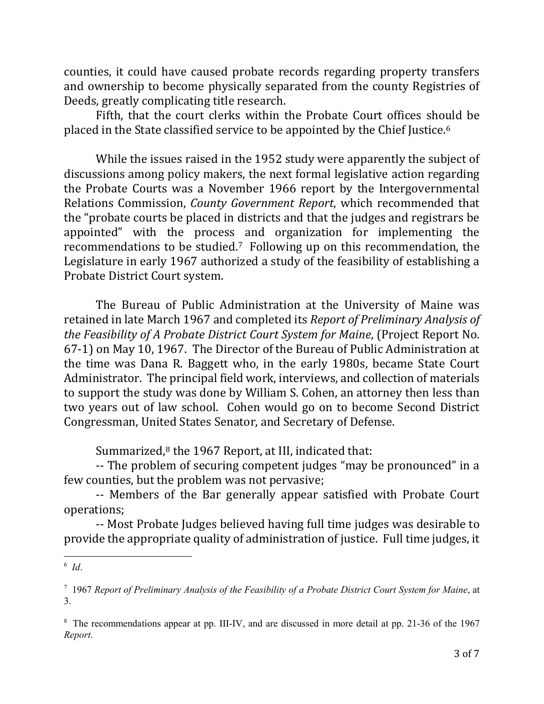counties, it could have caused probate records regarding property transfers and ownership to become physically separated from the county Registries of Deeds, greatly complicating title research.

Fifth, that the court clerks within the Probate Court offices should be placed in the State classified service to be appointed by the Chief Justice.[6](#page-2-0)

While the issues raised in the 1952 study were apparently the subject of discussions among policy makers, the next formal legislative action regarding the Probate Courts was a November 1966 report by the Intergovernmental Relations Commission, *County Government Report*, which recommended that the "probate courts be placed in districts and that the judges and registrars be appointed" with the process and organization for implementing the recommendations to be studied[.7](#page-2-1) Following up on this recommendation, the Legislature in early 1967 authorized a study of the feasibility of establishing a Probate District Court system.

The Bureau of Public Administration at the University of Maine was retained in late March 1967 and completed its *Report of Preliminary Analysis of the Feasibility of A Probate District Court System for Maine*, (Project Report No. 67-1) on May 10, 1967. The Director of the Bureau of Public Administration at the time was Dana R. Baggett who, in the early 1980s, became State Court Administrator. The principal field work, interviews, and collection of materials to support the study was done by William S. Cohen, an attorney then less than two years out of law school. Cohen would go on to become Second District Congressman, United States Senator, and Secretary of Defense.

Summarized, $8$  the 1967 Report, at III, indicated that:

-- The problem of securing competent judges "may be pronounced" in a few counties, but the problem was not pervasive;

-- Members of the Bar generally appear satisfied with Probate Court operations;

-- Most Probate Judges believed having full time judges was desirable to provide the appropriate quality of administration of justice. Full time judges, it

<span id="page-2-0"></span>6 *Id*.

<span id="page-2-1"></span><sup>7</sup> 1967 *Report of Preliminary Analysis of the Feasibility of a Probate District Court System for Maine*, at 3.

<span id="page-2-2"></span><sup>&</sup>lt;sup>8</sup> The recommendations appear at pp. III-IV, and are discussed in more detail at pp. 21-36 of the 1967 *Report*.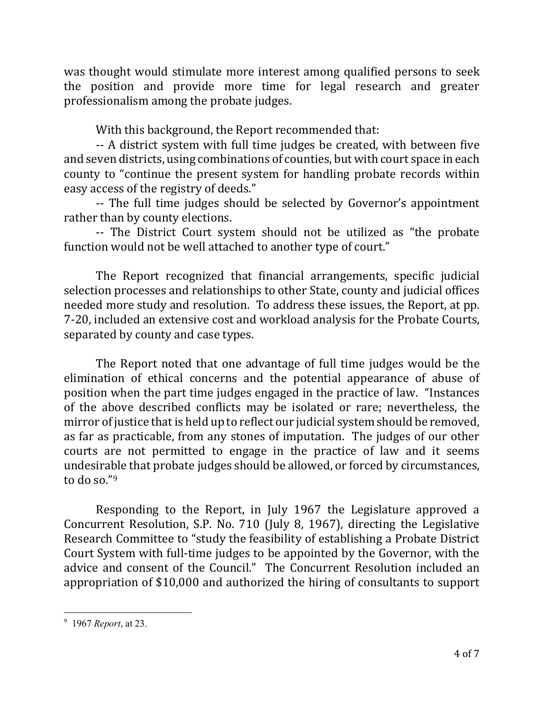was thought would stimulate more interest among qualified persons to seek the position and provide more time for legal research and greater professionalism among the probate judges.

With this background, the Report recommended that:

-- A district system with full time judges be created, with between five and seven districts, using combinations of counties, but with court space in each county to "continue the present system for handling probate records within easy access of the registry of deeds."

-- The full time judges should be selected by Governor's appointment rather than by county elections.

-- The District Court system should not be utilized as "the probate function would not be well attached to another type of court."

The Report recognized that financial arrangements, specific judicial selection processes and relationships to other State, county and judicial offices needed more study and resolution. To address these issues, the Report, at pp. 7-20, included an extensive cost and workload analysis for the Probate Courts, separated by county and case types.

The Report noted that one advantage of full time judges would be the elimination of ethical concerns and the potential appearance of abuse of position when the part time judges engaged in the practice of law. "Instances of the above described conflicts may be isolated or rare; nevertheless, the mirror of justice that is held up to reflect our judicial system should be removed, as far as practicable, from any stones of imputation. The judges of our other courts are not permitted to engage in the practice of law and it seems undesirable that probate judges should be allowed, or forced by circumstances, to do so."[9](#page-3-0)

Responding to the Report, in July 1967 the Legislature approved a Concurrent Resolution, S.P. No. 710 (July 8, 1967), directing the Legislative Research Committee to "study the feasibility of establishing a Probate District Court System with full-time judges to be appointed by the Governor, with the advice and consent of the Council." The Concurrent Resolution included an appropriation of \$10,000 and authorized the hiring of consultants to support

<span id="page-3-0"></span>9 1967 *Report*, at 23.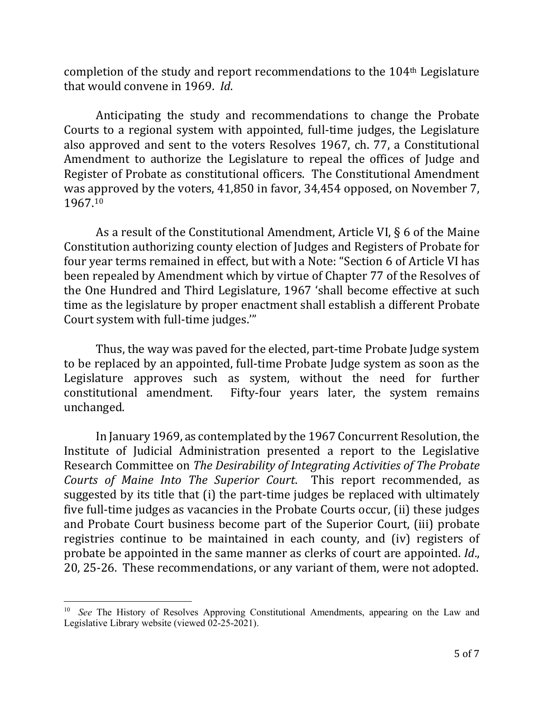completion of the study and report recommendations to the 104th Legislature that would convene in 1969. *Id*.

Anticipating the study and recommendations to change the Probate Courts to a regional system with appointed, full-time judges, the Legislature also approved and sent to the voters Resolves 1967, ch. 77, a Constitutional Amendment to authorize the Legislature to repeal the offices of Judge and Register of Probate as constitutional officers. The Constitutional Amendment was approved by the voters, 41,850 in favor, 34,454 opposed, on November 7, 1967.[10](#page-4-0)

As a result of the Constitutional Amendment, Article VI, § 6 of the Maine Constitution authorizing county election of Judges and Registers of Probate for four year terms remained in effect, but with a Note: "Section 6 of Article VI has been repealed by Amendment which by virtue of Chapter 77 of the Resolves of the One Hundred and Third Legislature, 1967 'shall become effective at such time as the legislature by proper enactment shall establish a different Probate Court system with full-time judges.'"

Thus, the way was paved for the elected, part-time Probate Judge system to be replaced by an appointed, full-time Probate Judge system as soon as the Legislature approves such as system, without the need for further constitutional amendment. Fifty-four years later, the system remains unchanged.

In January 1969, as contemplated by the 1967 Concurrent Resolution, the Institute of Judicial Administration presented a report to the Legislative Research Committee on *The Desirability of Integrating Activities of The Probate Courts of Maine Into The Superior Court*. This report recommended, as suggested by its title that (i) the part-time judges be replaced with ultimately five full-time judges as vacancies in the Probate Courts occur, (ii) these judges and Probate Court business become part of the Superior Court, (iii) probate registries continue to be maintained in each county, and (iv) registers of probate be appointed in the same manner as clerks of court are appointed. *Id*., 20, 25-26. These recommendations, or any variant of them, were not adopted.

<span id="page-4-0"></span><sup>&</sup>lt;sup>10</sup> See The History of Resolves Approving Constitutional Amendments, appearing on the Law and Legislative Library website (viewed 02-25-2021).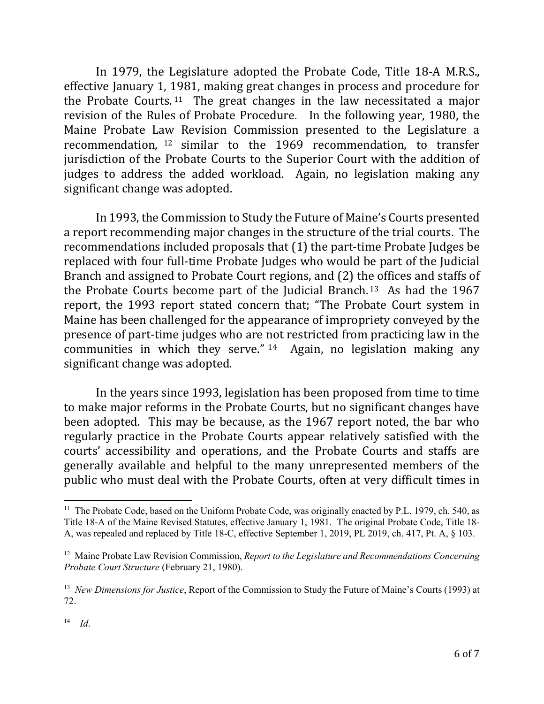In 1979, the Legislature adopted the Probate Code, Title 18-A M.R.S., effective January 1, 1981, making great changes in process and procedure for the Probate Courts. [11](#page-5-0) The great changes in the law necessitated a major revision of the Rules of Probate Procedure. In the following year, 1980, the Maine Probate Law Revision Commission presented to the Legislature a recommendation, [12](#page-5-1) similar to the 1969 recommendation, to transfer jurisdiction of the Probate Courts to the Superior Court with the addition of judges to address the added workload. Again, no legislation making any significant change was adopted.

In 1993, the Commission to Study the Future of Maine's Courts presented a report recommending major changes in the structure of the trial courts. The recommendations included proposals that (1) the part-time Probate Judges be replaced with four full-time Probate Judges who would be part of the Judicial Branch and assigned to Probate Court regions, and (2) the offices and staffs of the Probate Courts become part of the Judicial Branch. [13](#page-5-2) As had the 1967 report, the 1993 report stated concern that; "The Probate Court system in Maine has been challenged for the appearance of impropriety conveyed by the presence of part-time judges who are not restricted from practicing law in the communities in which they serve." [14](#page-5-3) Again, no legislation making any significant change was adopted.

In the years since 1993, legislation has been proposed from time to time to make major reforms in the Probate Courts, but no significant changes have been adopted. This may be because, as the 1967 report noted, the bar who regularly practice in the Probate Courts appear relatively satisfied with the courts' accessibility and operations, and the Probate Courts and staffs are generally available and helpful to the many unrepresented members of the public who must deal with the Probate Courts, often at very difficult times in

<span id="page-5-0"></span><sup>&</sup>lt;sup>11</sup> The Probate Code, based on the Uniform Probate Code, was originally enacted by P.L. 1979, ch. 540, as Title 18-A of the Maine Revised Statutes, effective January 1, 1981. The original Probate Code, Title 18- A, was repealed and replaced by Title 18-C, effective September 1, 2019, PL 2019, ch. 417, Pt. A, § 103.

<span id="page-5-1"></span><sup>12</sup> Maine Probate Law Revision Commission, *Report to the Legislature and Recommendations Concerning Probate Court Structure* (February 21, 1980).

<span id="page-5-3"></span><span id="page-5-2"></span><sup>13</sup> *New Dimensions for Justice*, Report of the Commission to Study the Future of Maine's Courts (1993) at 72.